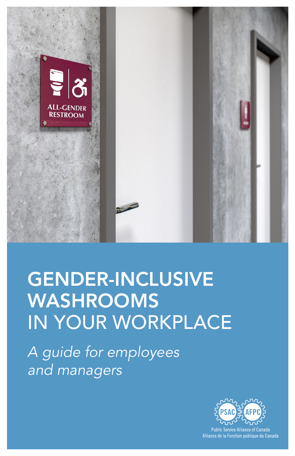

## GENDER-INCLUSIVE WASHROOMS IN YOUR WORKPLACE

*A guide for employees and managers*



**Public Service Alliance of Canada** Alliance de la Fonction publique du Canada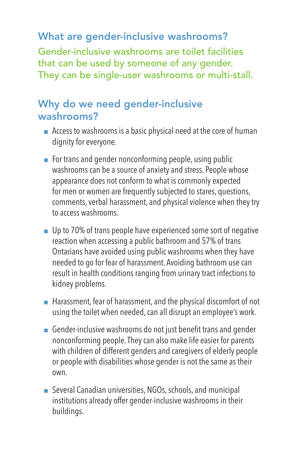### What are gender-inclusive washrooms?

Gender-inclusive washrooms are toilet facilities that can be used by someone of any gender. They can be single-user washrooms or multi-stall.

#### Why do we need gender-inclusive washrooms?

- Access to washrooms is a basic physical need at the core of human dignity for everyone.
- For trans and gender nonconforming people, using public washrooms can be a source of anxiety and stress. People whose appearance does not conform to what is commonly expected for men or women are frequently subjected to stares, questions, comments, verbal harassment, and physical violence when they try to access washrooms.
- Up to 70% of trans people have experienced some sort of negative reaction when accessing a public bathroom and 57% of trans Ontarians have avoided using public washrooms when they have needed to go for fear of harassment. Avoiding bathroom use can result in health conditions ranging from urinary tract infections to kidney problems.
- Harassment, fear of harassment, and the physical discomfort of not using the toilet when needed, can all disrupt an employee's work.
- Gender-inclusive washrooms do not just benefit trans and gender nonconforming people. They can also make life easier for parents with children of different genders and caregivers of elderly people or people with disabilities whose gender is not the same as their own.
- Several Canadian universities, NGOs, schools, and municipal institutions already offer gender-inclusive washrooms in their buildings.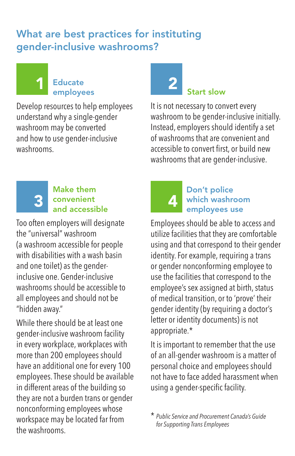#### What are best practices for instituting gender-inclusive washrooms?

#### 1 Educate 2 employees

Develop resources to help employees understand why a single-gender washroom may be converted and how to use gender-inclusive washrooms.

# Start slow

It is not necessary to convert every washroom to be gender-inclusive initially. Instead, employers should identify a set of washrooms that are convenient and accessible to convert first, or build new washrooms that are gender-inclusive.

#### Make them 3 convenient 4 and accessible

Too often employers will designate the "universal" washroom (a washroom accessible for people with disabilities with a wash basin and one toilet) as the genderinclusive one. Gender-inclusive washrooms should be accessible to all employees and should not be "hidden away."

While there should be at least one gender-inclusive washroom facility in every workplace, workplaces with more than 200 employees should have an additional one for every 100 employees. These should be available in different areas of the building so they are not a burden trans or gender nonconforming employees whose workspace may be located far from the washrooms.

#### Don't police which washroom employees use

Employees should be able to access and utilize facilities that they are comfortable using and that correspond to their gender identity. For example, requiring a trans or gender nonconforming employee to use the facilities that correspond to the employee's sex assigned at birth, status of medical transition, or to 'prove' their gender identity (by requiring a doctor's letter or identity documents) is not appropriate.\*

It is important to remember that the use of an all-gender washroom is a matter of personal choice and employees should not have to face added harassment when using a gender-specific facility.

\* *Public Service and Procurement Canada's Guide for Supporting Trans Employees*